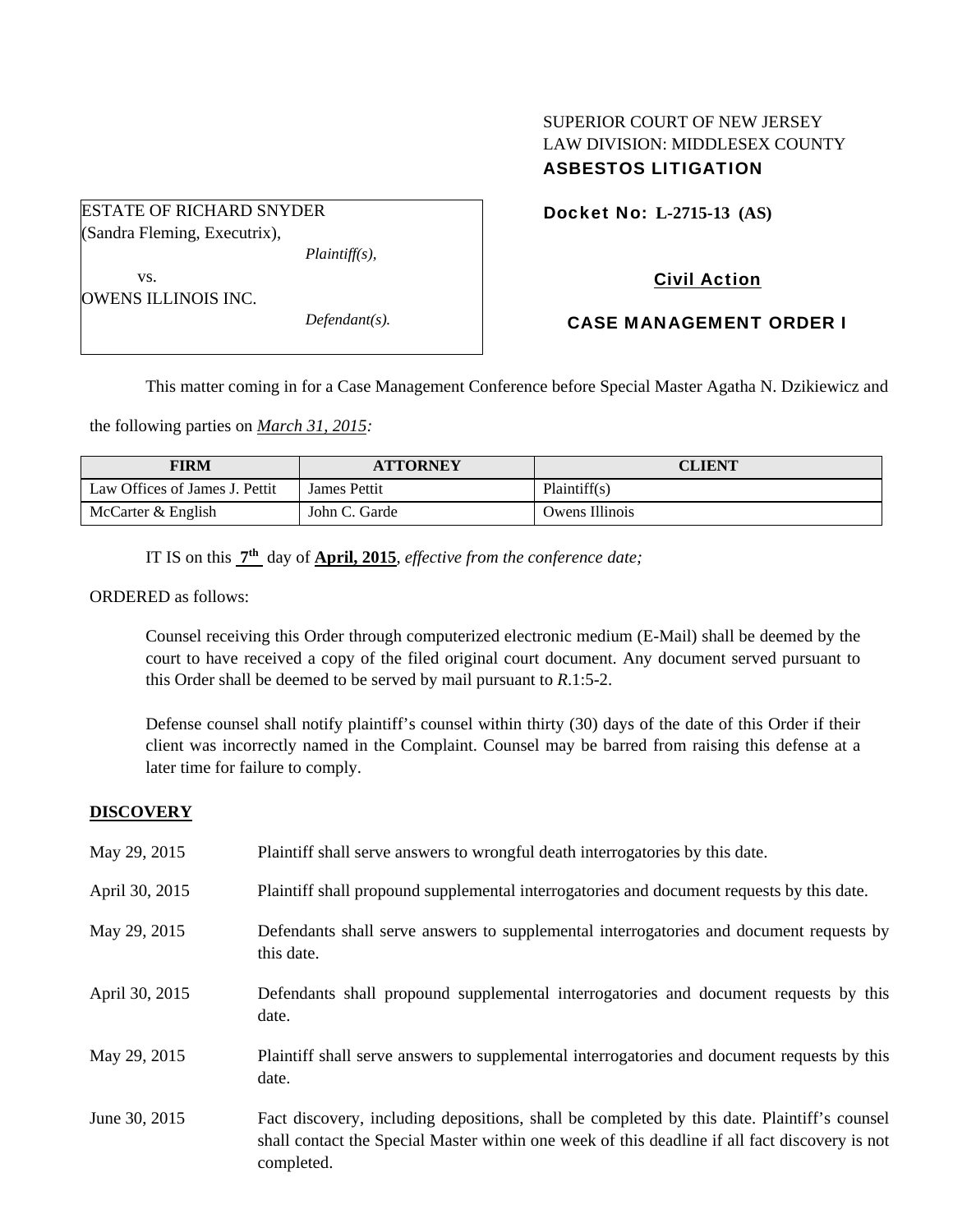# SUPERIOR COURT OF NEW JERSEY LAW DIVISION: MIDDLESEX COUNTY ASBESTOS LITIGATION

Docket No: **L-2715-13 (AS)** 

Civil Action

 vs. OWENS ILLINOIS INC.

ESTATE OF RICHARD SNYDER (Sandra Fleming, Executrix),

*Defendant(s).* 

*Plaintiff(s),* 

CASE MANAGEMENT ORDER I

This matter coming in for a Case Management Conference before Special Master Agatha N. Dzikiewicz and

the following parties on *March 31, 2015:* 

| <b>FIRM</b>                    | <b>ATTORNEY</b> | CLIENT         |
|--------------------------------|-----------------|----------------|
| Law Offices of James J. Pettit | James Pettit    | Plaintiff(s)   |
| McCarter & English             | John C. Garde   | Owens Illinois |

IT IS on this **7th** day of **April, 2015**, *effective from the conference date;*

ORDERED as follows:

Counsel receiving this Order through computerized electronic medium (E-Mail) shall be deemed by the court to have received a copy of the filed original court document. Any document served pursuant to this Order shall be deemed to be served by mail pursuant to *R*.1:5-2.

Defense counsel shall notify plaintiff's counsel within thirty (30) days of the date of this Order if their client was incorrectly named in the Complaint. Counsel may be barred from raising this defense at a later time for failure to comply.

#### **DISCOVERY**

| May 29, 2015   | Plaintiff shall serve answers to wrongful death interrogatories by this date.                                                                                                                               |
|----------------|-------------------------------------------------------------------------------------------------------------------------------------------------------------------------------------------------------------|
| April 30, 2015 | Plaintiff shall propound supplemental interrogatories and document requests by this date.                                                                                                                   |
| May 29, 2015   | Defendants shall serve answers to supplemental interrogatories and document requests by<br>this date.                                                                                                       |
| April 30, 2015 | Defendants shall propound supplemental interrogatories and document requests by this<br>date.                                                                                                               |
| May 29, 2015   | Plaintiff shall serve answers to supplemental interrogatories and document requests by this<br>date.                                                                                                        |
| June 30, 2015  | Fact discovery, including depositions, shall be completed by this date. Plaintiff's counsel<br>shall contact the Special Master within one week of this deadline if all fact discovery is not<br>completed. |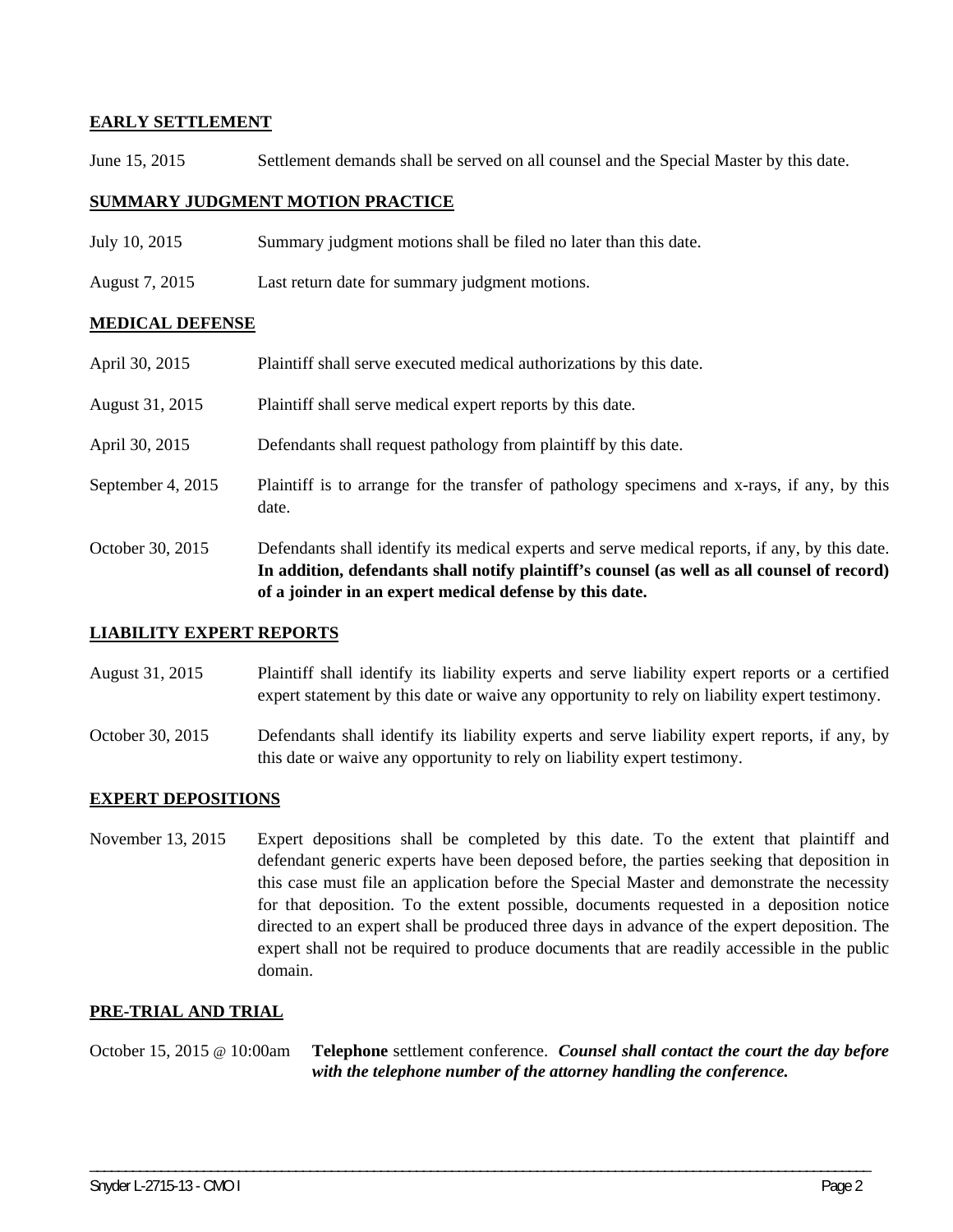## **EARLY SETTLEMENT**

June 15, 2015 Settlement demands shall be served on all counsel and the Special Master by this date.

## **SUMMARY JUDGMENT MOTION PRACTICE**

- July 10, 2015 Summary judgment motions shall be filed no later than this date.
- August 7, 2015 Last return date for summary judgment motions.

#### **MEDICAL DEFENSE**

|                   | In addition, defendants shall notify plaintiff's counsel (as well as all counsel of record)<br>of a joinder in an expert medical defense by this date. |
|-------------------|--------------------------------------------------------------------------------------------------------------------------------------------------------|
| October 30, 2015  | Defendants shall identify its medical experts and serve medical reports, if any, by this date.                                                         |
| September 4, 2015 | Plaintiff is to arrange for the transfer of pathology specimens and x-rays, if any, by this<br>date.                                                   |
| April 30, 2015    | Defendants shall request pathology from plaintiff by this date.                                                                                        |
| August 31, 2015   | Plaintiff shall serve medical expert reports by this date.                                                                                             |
| April 30, 2015    | Plaintiff shall serve executed medical authorizations by this date.                                                                                    |

#### **LIABILITY EXPERT REPORTS**

- August 31, 2015 Plaintiff shall identify its liability experts and serve liability expert reports or a certified expert statement by this date or waive any opportunity to rely on liability expert testimony.
- October 30, 2015 Defendants shall identify its liability experts and serve liability expert reports, if any, by this date or waive any opportunity to rely on liability expert testimony.

#### **EXPERT DEPOSITIONS**

November 13, 2015 Expert depositions shall be completed by this date. To the extent that plaintiff and defendant generic experts have been deposed before, the parties seeking that deposition in this case must file an application before the Special Master and demonstrate the necessity for that deposition. To the extent possible, documents requested in a deposition notice directed to an expert shall be produced three days in advance of the expert deposition. The expert shall not be required to produce documents that are readily accessible in the public domain.

#### **PRE-TRIAL AND TRIAL**

October 15, 2015 @ 10:00am **Telephone** settlement conference. *Counsel shall contact the court the day before with the telephone number of the attorney handling the conference.* 

\_\_\_\_\_\_\_\_\_\_\_\_\_\_\_\_\_\_\_\_\_\_\_\_\_\_\_\_\_\_\_\_\_\_\_\_\_\_\_\_\_\_\_\_\_\_\_\_\_\_\_\_\_\_\_\_\_\_\_\_\_\_\_\_\_\_\_\_\_\_\_\_\_\_\_\_\_\_\_\_\_\_\_\_\_\_\_\_\_\_\_\_\_\_\_\_\_\_\_\_\_\_\_\_\_\_\_\_\_\_